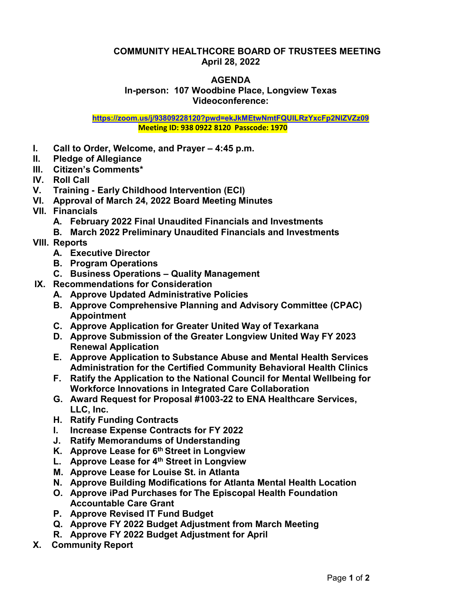## **COMMUNITY HEALTHCORE BOARD OF TRUSTEES MEETING April 28, 2022**

## **AGENDA In-person: 107 Woodbine Place, Longview Texas Videoconference:**

**<https://zoom.us/j/93809228120?pwd=ekJkMEtwNmtFQUlLRzYxcFp2NlZVZz09> Meeting ID: 938 0922 8120 Passcode: 1970**

- **I. Call to Order, Welcome, and Prayer – 4:45 p.m.**
- **II. Pledge of Allegiance**
- **III. Citizen's Comments\***
- **IV. Roll Call**
- **V. Training - Early Childhood Intervention (ECI)**
- **VI. Approval of March 24, 2022 Board Meeting Minutes**
- **VII. Financials**
	- **A. February 2022 Final Unaudited Financials and Investments**
	- **B. March 2022 Preliminary Unaudited Financials and Investments**
- **VIII. Reports**
	- **A. Executive Director**
	- **B. Program Operations**
	- **C. Business Operations – Quality Management**
- **IX. Recommendations for Consideration**
	- **A. Approve Updated Administrative Policies**
	- **B. Approve Comprehensive Planning and Advisory Committee (CPAC) Appointment**
	- **C. Approve Application for Greater United Way of Texarkana**
	- **D. Approve Submission of the Greater Longview United Way FY 2023 Renewal Application**
	- **E. Approve Application to Substance Abuse and Mental Health Services Administration for the Certified Community Behavioral Health Clinics**
	- **F. Ratify the Application to the National Council for Mental Wellbeing for Workforce Innovations in Integrated Care Collaboration**
	- **G. Award Request for Proposal #1003-22 to ENA Healthcare Services, LLC, Inc.**
	- **H. Ratify Funding Contracts**
	- **I. Increase Expense Contracts for FY 2022**
	- **J. Ratify Memorandums of Understanding**
	- **K. Approve Lease for 6th Street in Longview**
	- **L. Approve Lease for 4th Street in Longview**
	- **M. Approve Lease for Louise St. in Atlanta**
	- **N. Approve Building Modifications for Atlanta Mental Health Location**
	- **O. Approve iPad Purchases for The Episcopal Health Foundation Accountable Care Grant**
	- **P. Approve Revised IT Fund Budget**
	- **Q. Approve FY 2022 Budget Adjustment from March Meeting**
	- **R. Approve FY 2022 Budget Adjustment for April**
- **X. Community Report**